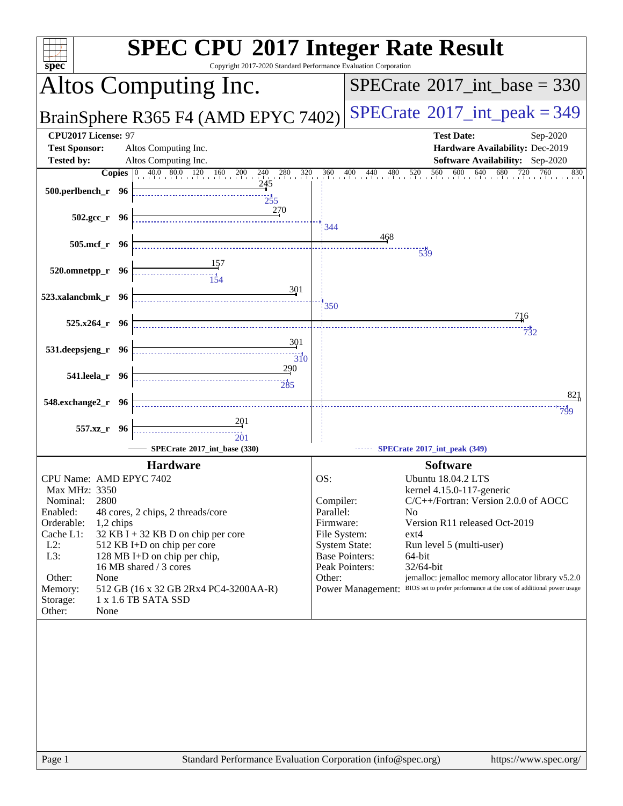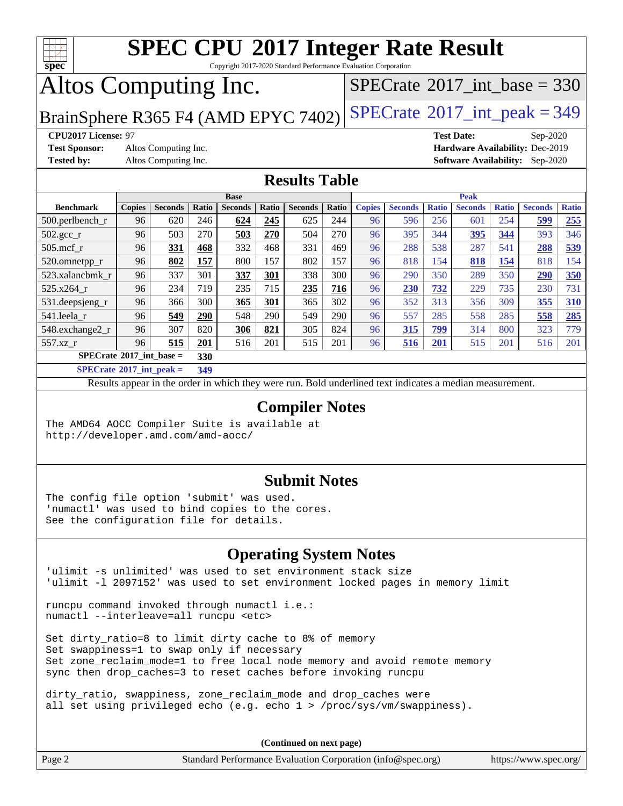

Copyright 2017-2020 Standard Performance Evaluation Corporation

## Altos Computing Inc.

 $SPECTate@2017_int\_base = 330$ 

BrainSphere R365 F4 (AMD EPYC 7402) [SPECrate](http://www.spec.org/auto/cpu2017/Docs/result-fields.html#SPECrate2017intpeak)<sup>®</sup>[2017\\_int\\_peak = 3](http://www.spec.org/auto/cpu2017/Docs/result-fields.html#SPECrate2017intpeak)49

**[Test Sponsor:](http://www.spec.org/auto/cpu2017/Docs/result-fields.html#TestSponsor)** Altos Computing Inc. **[Hardware Availability:](http://www.spec.org/auto/cpu2017/Docs/result-fields.html#HardwareAvailability)** Dec-2019

**[CPU2017 License:](http://www.spec.org/auto/cpu2017/Docs/result-fields.html#CPU2017License)** 97 **[Test Date:](http://www.spec.org/auto/cpu2017/Docs/result-fields.html#TestDate)** Sep-2020 **[Tested by:](http://www.spec.org/auto/cpu2017/Docs/result-fields.html#Testedby)** Altos Computing Inc. **[Software Availability:](http://www.spec.org/auto/cpu2017/Docs/result-fields.html#SoftwareAvailability)** Sep-2020

### **[Results Table](http://www.spec.org/auto/cpu2017/Docs/result-fields.html#ResultsTable)**

|                                          | <b>Base</b>   |                |       |                | <b>Peak</b> |                |       |               |                |              |                |              |                |              |
|------------------------------------------|---------------|----------------|-------|----------------|-------------|----------------|-------|---------------|----------------|--------------|----------------|--------------|----------------|--------------|
| <b>Benchmark</b>                         | <b>Copies</b> | <b>Seconds</b> | Ratio | <b>Seconds</b> | Ratio       | <b>Seconds</b> | Ratio | <b>Copies</b> | <b>Seconds</b> | <b>Ratio</b> | <b>Seconds</b> | <b>Ratio</b> | <b>Seconds</b> | <b>Ratio</b> |
| 500.perlbench_r                          | 96            | 620            | 246   | 624            | 245         | 625            | 244   | 96            | 596            | 256          | 601            | 254          | 599            | 255          |
| $502.\text{gcc\_r}$                      | 96            | 503            | 270   | 503            | 270         | 504            | 270   | 96            | 395            | 344          | 395            | 344          | 393            | 346          |
| $505$ .mcf r                             | 96            | 331            | 468   | 332            | 468         | 331            | 469   | 96            | 288            | 538          | 287            | 541          | 288            | 539          |
| 520.omnetpp_r                            | 96            | 802            | 157   | 800            | 157         | 802            | 157   | 96            | 818            | 154          | 818            | 154          | 818            | 154          |
| 523.xalancbmk r                          | 96            | 337            | 301   | 337            | 301         | 338            | 300   | 96            | 290            | 350          | 289            | 350          | 290            | 350          |
| 525.x264 r                               | 96            | 234            | 719   | 235            | 715         | 235            | 716   | 96            | 230            | 732          | 229            | 735          | 230            | 731          |
| 531.deepsjeng_r                          | 96            | 366            | 300   | 365            | 301         | 365            | 302   | 96            | 352            | 313          | 356            | 309          | 355            | 310          |
| 541.leela r                              | 96            | 549            | 290   | 548            | 290         | 549            | 290   | 96            | 557            | 285          | 558            | 285          | 558            | 285          |
| 548.exchange2_r                          | 96            | 307            | 820   | 306            | 821         | 305            | 824   | 96            | 315            | 799          | 314            | 800          | 323            | 779          |
| 557.xz r                                 | 96            | 515            | 201   | 516            | 201         | 515            | 201   | 96            | 516            | 201          | 515            | 201          | 516            | 201          |
| $SPECrate^{\circ}2017$ int base =<br>330 |               |                |       |                |             |                |       |               |                |              |                |              |                |              |
| _____                                    |               |                |       |                |             |                |       |               |                |              |                |              |                |              |

**[SPECrate](http://www.spec.org/auto/cpu2017/Docs/result-fields.html#SPECrate2017intpeak)[2017\\_int\\_peak =](http://www.spec.org/auto/cpu2017/Docs/result-fields.html#SPECrate2017intpeak) 349**

Results appear in the [order in which they were run](http://www.spec.org/auto/cpu2017/Docs/result-fields.html#RunOrder). Bold underlined text [indicates a median measurement](http://www.spec.org/auto/cpu2017/Docs/result-fields.html#Median).

### **[Compiler Notes](http://www.spec.org/auto/cpu2017/Docs/result-fields.html#CompilerNotes)**

The AMD64 AOCC Compiler Suite is available at <http://developer.amd.com/amd-aocc/>

### **[Submit Notes](http://www.spec.org/auto/cpu2017/Docs/result-fields.html#SubmitNotes)**

The config file option 'submit' was used. 'numactl' was used to bind copies to the cores. See the configuration file for details.

### **[Operating System Notes](http://www.spec.org/auto/cpu2017/Docs/result-fields.html#OperatingSystemNotes)**

'ulimit -s unlimited' was used to set environment stack size 'ulimit -l 2097152' was used to set environment locked pages in memory limit

runcpu command invoked through numactl i.e.: numactl --interleave=all runcpu <etc>

Set dirty\_ratio=8 to limit dirty cache to 8% of memory Set swappiness=1 to swap only if necessary Set zone\_reclaim\_mode=1 to free local node memory and avoid remote memory sync then drop\_caches=3 to reset caches before invoking runcpu

dirty\_ratio, swappiness, zone\_reclaim\_mode and drop\_caches were all set using privileged echo (e.g. echo 1 > /proc/sys/vm/swappiness).

**(Continued on next page)**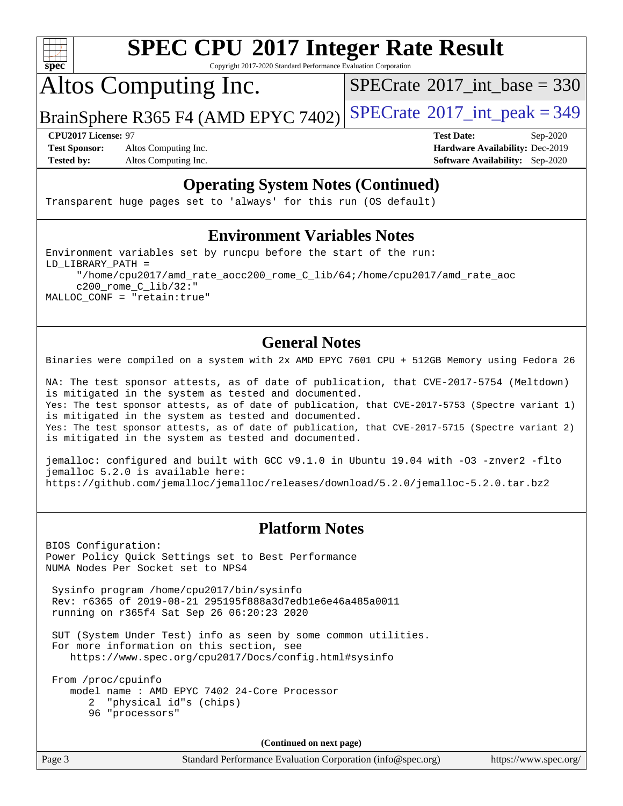

Copyright 2017-2020 Standard Performance Evaluation Corporation

Altos Computing Inc.

 $SPECTate@2017_int\_base = 330$ 

BrainSphere R365 F4 (AMD EPYC 7402) [SPECrate](http://www.spec.org/auto/cpu2017/Docs/result-fields.html#SPECrate2017intpeak)®[2017\\_int\\_peak = 3](http://www.spec.org/auto/cpu2017/Docs/result-fields.html#SPECrate2017intpeak)49

**[Test Sponsor:](http://www.spec.org/auto/cpu2017/Docs/result-fields.html#TestSponsor)** Altos Computing Inc. **[Hardware Availability:](http://www.spec.org/auto/cpu2017/Docs/result-fields.html#HardwareAvailability)** Dec-2019 **[Tested by:](http://www.spec.org/auto/cpu2017/Docs/result-fields.html#Testedby)** Altos Computing Inc. **[Software Availability:](http://www.spec.org/auto/cpu2017/Docs/result-fields.html#SoftwareAvailability)** Sep-2020

**[CPU2017 License:](http://www.spec.org/auto/cpu2017/Docs/result-fields.html#CPU2017License)** 97 **[Test Date:](http://www.spec.org/auto/cpu2017/Docs/result-fields.html#TestDate)** Sep-2020

### **[Operating System Notes \(Continued\)](http://www.spec.org/auto/cpu2017/Docs/result-fields.html#OperatingSystemNotes)**

Transparent huge pages set to 'always' for this run (OS default)

### **[Environment Variables Notes](http://www.spec.org/auto/cpu2017/Docs/result-fields.html#EnvironmentVariablesNotes)**

Environment variables set by runcpu before the start of the run: LD\_LIBRARY\_PATH = "/home/cpu2017/amd\_rate\_aocc200\_rome\_C\_lib/64;/home/cpu2017/amd\_rate\_aoc c200\_rome\_C\_lib/32:" MALLOC\_CONF = "retain:true"

### **[General Notes](http://www.spec.org/auto/cpu2017/Docs/result-fields.html#GeneralNotes)**

Binaries were compiled on a system with 2x AMD EPYC 7601 CPU + 512GB Memory using Fedora 26

NA: The test sponsor attests, as of date of publication, that CVE-2017-5754 (Meltdown) is mitigated in the system as tested and documented. Yes: The test sponsor attests, as of date of publication, that CVE-2017-5753 (Spectre variant 1) is mitigated in the system as tested and documented. Yes: The test sponsor attests, as of date of publication, that CVE-2017-5715 (Spectre variant 2) is mitigated in the system as tested and documented.

jemalloc: configured and built with GCC v9.1.0 in Ubuntu 19.04 with -O3 -znver2 -flto jemalloc 5.2.0 is available here: <https://github.com/jemalloc/jemalloc/releases/download/5.2.0/jemalloc-5.2.0.tar.bz2>

### **[Platform Notes](http://www.spec.org/auto/cpu2017/Docs/result-fields.html#PlatformNotes)**

BIOS Configuration: Power Policy Quick Settings set to Best Performance NUMA Nodes Per Socket set to NPS4

 Sysinfo program /home/cpu2017/bin/sysinfo Rev: r6365 of 2019-08-21 295195f888a3d7edb1e6e46a485a0011 running on r365f4 Sat Sep 26 06:20:23 2020

 SUT (System Under Test) info as seen by some common utilities. For more information on this section, see <https://www.spec.org/cpu2017/Docs/config.html#sysinfo>

 From /proc/cpuinfo model name : AMD EPYC 7402 24-Core Processor 2 "physical id"s (chips) 96 "processors"

**(Continued on next page)**

Page 3 Standard Performance Evaluation Corporation [\(info@spec.org\)](mailto:info@spec.org) <https://www.spec.org/>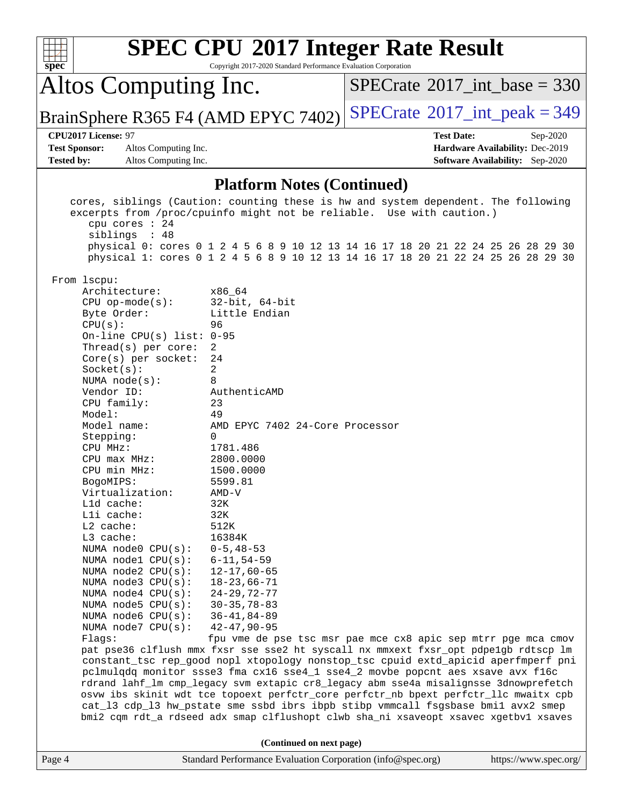| spec <sup>®</sup>                                                                                                |                                                                                                                                                                                                                                                                                                                                                                                                                                                                                                                                                                                                                                             | <b>SPEC CPU®2017 Integer Rate Result</b><br>Copyright 2017-2020 Standard Performance Evaluation Corporation                                                                                                                                                                                                                                                                                                                                                                                                                                                                                                                                                                                                                                                                                                                                                                                                                                                                                                                                                                                                                                                                                                                                                                          |  |                                             |  |  |  |  |
|------------------------------------------------------------------------------------------------------------------|---------------------------------------------------------------------------------------------------------------------------------------------------------------------------------------------------------------------------------------------------------------------------------------------------------------------------------------------------------------------------------------------------------------------------------------------------------------------------------------------------------------------------------------------------------------------------------------------------------------------------------------------|--------------------------------------------------------------------------------------------------------------------------------------------------------------------------------------------------------------------------------------------------------------------------------------------------------------------------------------------------------------------------------------------------------------------------------------------------------------------------------------------------------------------------------------------------------------------------------------------------------------------------------------------------------------------------------------------------------------------------------------------------------------------------------------------------------------------------------------------------------------------------------------------------------------------------------------------------------------------------------------------------------------------------------------------------------------------------------------------------------------------------------------------------------------------------------------------------------------------------------------------------------------------------------------|--|---------------------------------------------|--|--|--|--|
|                                                                                                                  | Altos Computing Inc.                                                                                                                                                                                                                                                                                                                                                                                                                                                                                                                                                                                                                        |                                                                                                                                                                                                                                                                                                                                                                                                                                                                                                                                                                                                                                                                                                                                                                                                                                                                                                                                                                                                                                                                                                                                                                                                                                                                                      |  | $SPECTate$ <sup>®</sup> 2017_int_base = 330 |  |  |  |  |
|                                                                                                                  |                                                                                                                                                                                                                                                                                                                                                                                                                                                                                                                                                                                                                                             | BrainSphere R365 F4 (AMD EPYC 7402)                                                                                                                                                                                                                                                                                                                                                                                                                                                                                                                                                                                                                                                                                                                                                                                                                                                                                                                                                                                                                                                                                                                                                                                                                                                  |  | $SPECTate$ <sup>®</sup> 2017_int_peak = 349 |  |  |  |  |
|                                                                                                                  | CPU2017 License: 97<br><b>Test Date:</b><br>Sep-2020                                                                                                                                                                                                                                                                                                                                                                                                                                                                                                                                                                                        |                                                                                                                                                                                                                                                                                                                                                                                                                                                                                                                                                                                                                                                                                                                                                                                                                                                                                                                                                                                                                                                                                                                                                                                                                                                                                      |  |                                             |  |  |  |  |
| <b>Test Sponsor:</b><br>Altos Computing Inc.<br>Hardware Availability: Dec-2019                                  |                                                                                                                                                                                                                                                                                                                                                                                                                                                                                                                                                                                                                                             |                                                                                                                                                                                                                                                                                                                                                                                                                                                                                                                                                                                                                                                                                                                                                                                                                                                                                                                                                                                                                                                                                                                                                                                                                                                                                      |  |                                             |  |  |  |  |
| <b>Tested by:</b>                                                                                                | Altos Computing Inc.                                                                                                                                                                                                                                                                                                                                                                                                                                                                                                                                                                                                                        |                                                                                                                                                                                                                                                                                                                                                                                                                                                                                                                                                                                                                                                                                                                                                                                                                                                                                                                                                                                                                                                                                                                                                                                                                                                                                      |  | <b>Software Availability:</b> Sep-2020      |  |  |  |  |
|                                                                                                                  |                                                                                                                                                                                                                                                                                                                                                                                                                                                                                                                                                                                                                                             | <b>Platform Notes (Continued)</b>                                                                                                                                                                                                                                                                                                                                                                                                                                                                                                                                                                                                                                                                                                                                                                                                                                                                                                                                                                                                                                                                                                                                                                                                                                                    |  |                                             |  |  |  |  |
|                                                                                                                  | cpu cores : 24<br>siblings : 48<br>From lscpu:<br>Architecture:<br>$CPU$ op-mode( $s$ ):<br>Byte Order:<br>CPU(s):<br>On-line CPU(s) list: $0-95$<br>Thread(s) per core:<br>$Core(s)$ per socket:<br>Socket(s):<br>NUMA $node(s):$<br>Vendor ID:<br>CPU family:<br>Model:<br>Model name:<br>Stepping:<br>CPU MHz:<br>CPU max MHz:<br>CPU min MHz:<br>BogoMIPS:<br>Virtualization:<br>L1d cache:<br>Lli cache:<br>L2 cache:<br>L3 cache:<br>NUMA node0 CPU(s):<br>NUMA nodel CPU(s):<br>NUMA node2 CPU(s):<br>NUMA node3 CPU(s):<br>NUMA $node4$ $CPU(s):$<br>NUMA $node5$ CPU $(s)$ :<br>NUMA node6 CPU(s):<br>NUMA node7 CPU(s):<br>Flaqs: | cores, siblings (Caution: counting these is hw and system dependent. The following<br>excerpts from /proc/cpuinfo might not be reliable. Use with caution.)<br>physical 0: cores 0 1 2 4 5 6 8 9 10 12 13 14 16 17 18 20 21 22 24 25 26 28 29 30<br>physical 1: cores 0 1 2 4 5 6 8 9 10 12 13 14 16 17 18 20 21 22 24 25 26 28 29 30<br>x86 64<br>$32$ -bit, $64$ -bit<br>Little Endian<br>96<br>2<br>24<br>2<br>8<br>AuthenticAMD<br>23<br>49<br>AMD EPYC 7402 24-Core Processor<br>$\Omega$<br>1781.486<br>2800.0000<br>1500.0000<br>5599.81<br>$AMD-V$<br>32K<br>32K<br>512K<br>16384K<br>$0 - 5, 48 - 53$<br>$6 - 11, 54 - 59$<br>$12 - 17,60 - 65$<br>$18 - 23,66 - 71$<br>$24 - 29, 72 - 77$<br>$30 - 35, 78 - 83$<br>$36 - 41, 84 - 89$<br>$42 - 47, 90 - 95$<br>fpu vme de pse tsc msr pae mce cx8 apic sep mtrr pge mca cmov<br>pat pse36 clflush mmx fxsr sse sse2 ht syscall nx mmxext fxsr_opt pdpe1gb rdtscp lm<br>constant_tsc rep_good nopl xtopology nonstop_tsc cpuid extd_apicid aperfmperf pni<br>pclmulqdq monitor ssse3 fma cx16 sse4_1 sse4_2 movbe popcnt aes xsave avx f16c<br>rdrand lahf_lm cmp_legacy svm extapic cr8_legacy abm sse4a misalignsse 3dnowprefetch<br>osvw ibs skinit wdt tce topoext perfctr_core perfctr_nb bpext perfctr_llc mwaitx cpb |  |                                             |  |  |  |  |
|                                                                                                                  |                                                                                                                                                                                                                                                                                                                                                                                                                                                                                                                                                                                                                                             | cat_13 cdp_13 hw_pstate sme ssbd ibrs ibpb stibp vmmcall fsgsbase bmil avx2 smep                                                                                                                                                                                                                                                                                                                                                                                                                                                                                                                                                                                                                                                                                                                                                                                                                                                                                                                                                                                                                                                                                                                                                                                                     |  |                                             |  |  |  |  |
| bmi2 cqm rdt_a rdseed adx smap clflushopt clwb sha_ni xsaveopt xsavec xgetbv1 xsaves<br>(Continued on next page) |                                                                                                                                                                                                                                                                                                                                                                                                                                                                                                                                                                                                                                             |                                                                                                                                                                                                                                                                                                                                                                                                                                                                                                                                                                                                                                                                                                                                                                                                                                                                                                                                                                                                                                                                                                                                                                                                                                                                                      |  |                                             |  |  |  |  |
| Page 4                                                                                                           |                                                                                                                                                                                                                                                                                                                                                                                                                                                                                                                                                                                                                                             | Standard Performance Evaluation Corporation (info@spec.org)                                                                                                                                                                                                                                                                                                                                                                                                                                                                                                                                                                                                                                                                                                                                                                                                                                                                                                                                                                                                                                                                                                                                                                                                                          |  | https://www.spec.org/                       |  |  |  |  |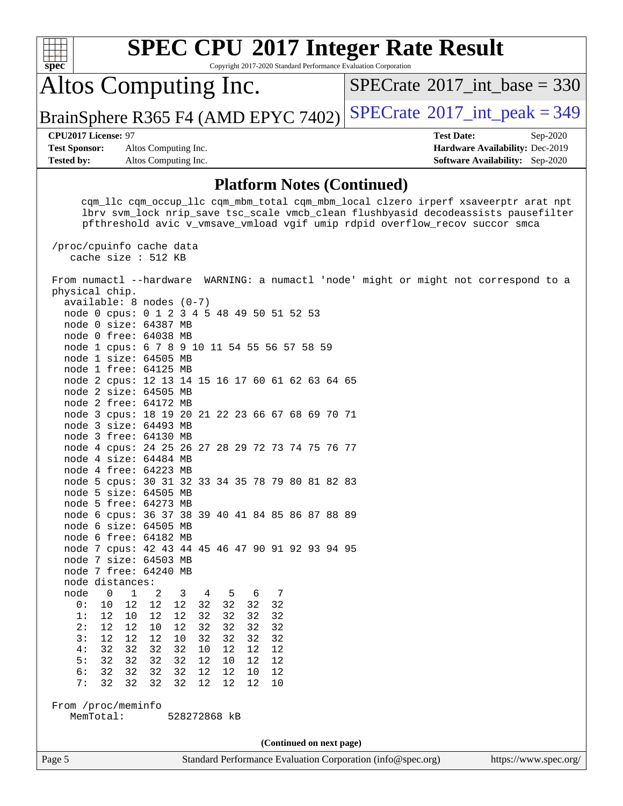| Altos Computing Inc.<br>$SPECrate^{\circ}2017\_int\_base = 330$<br>BrainSphere R365 F4 (AMD EPYC 7402)<br>CPU2017 License: 97<br><b>Test Date:</b><br>Sep-2020<br><b>Test Sponsor:</b><br>Altos Computing Inc.<br>Hardware Availability: Dec-2019<br><b>Tested by:</b><br><b>Software Availability:</b> Sep-2020<br>Altos Computing Inc.<br><b>Platform Notes (Continued)</b><br>cqm_llc cqm_occup_llc cqm_mbm_total cqm_mbm_local clzero irperf xsaveerptr arat npt<br>lbrv svm_lock nrip_save tsc_scale vmcb_clean flushbyasid decodeassists pausefilter<br>pfthreshold avic v_vmsave_vmload vgif umip rdpid overflow_recov succor smca<br>/proc/cpuinfo cache data<br>cache size : 512 KB<br>From numactl --hardware WARNING: a numactl 'node' might or might not correspond to a<br>physical chip.<br>$available: 8 nodes (0-7)$<br>node 0 cpus: 0 1 2 3 4 5 48 49 50 51 52 53<br>node 0 size: 64387 MB<br>node 0 free: 64038 MB<br>node 1 cpus: 6 7 8 9 10 11 54 55 56 57 58 59<br>node 1 size: 64505 MB<br>node 1 free: 64125 MB<br>node 2 cpus: 12 13 14 15 16 17 60 61 62 63 64 65<br>node 2 size: 64505 MB<br>node 2 free: 64172 MB<br>node 3 cpus: 18 19 20 21 22 23 66 67 68 69 70 71<br>node 3 size: 64493 MB<br>node 3 free: 64130 MB<br>node 4 cpus: 24 25 26 27 28 29 72 73 74 75 76 77<br>node 4 size: 64484 MB<br>node 4 free: 64223 MB<br>node 5 cpus: 30 31 32 33 34 35 78 79 80 81 82 83<br>node 5 size: 64505 MB<br>node 5 free: 64273 MB<br>node 6 cpus: 36 37 38 39 40 41 84 85 86 87 88 89<br>node 6 size: 64505 MB<br>node 6 free: 64182 MB<br>node 7 cpus: 42 43 44 45 46 47 90 91 92 93 94 95<br>node 7 size: 64503 MB<br>node 7 free: 64240 MB<br>node distances:<br>node<br>$\mathbf{0}$<br>$\mathbf{1}$<br>2<br>3<br>6<br>4<br>5<br>7<br>32<br>0:<br>12<br>12<br>32<br>32<br>32<br>10<br>12<br>32<br>32<br>1:<br>12<br>10<br>12<br>12<br>32<br>32<br>2:<br>12<br>10<br>12<br>32<br>32<br>32<br>32<br>12<br>3:<br>12<br>12<br>12<br>10<br>32<br>32<br>32<br>32<br>4:<br>32<br>32<br>32<br>32<br>12<br>12<br>12<br>10<br>32<br>5:<br>32<br>32<br>32<br>12<br>10<br>12<br>12<br>6:<br>32<br>32<br>32<br>32<br>12<br>12<br>12<br>10<br>7:<br>32<br>32<br>32<br>32<br>12<br>12<br>12<br>10<br>From /proc/meminfo<br>MemTotal:<br>528272868 kB<br>(Continued on next page)<br>Page 5<br>Standard Performance Evaluation Corporation (info@spec.org) | spec | Copyright 2017-2020 Standard Performance Evaluation Corporation | <b>SPEC CPU®2017 Integer Rate Result</b> |  |  |  |  |  |
|-----------------------------------------------------------------------------------------------------------------------------------------------------------------------------------------------------------------------------------------------------------------------------------------------------------------------------------------------------------------------------------------------------------------------------------------------------------------------------------------------------------------------------------------------------------------------------------------------------------------------------------------------------------------------------------------------------------------------------------------------------------------------------------------------------------------------------------------------------------------------------------------------------------------------------------------------------------------------------------------------------------------------------------------------------------------------------------------------------------------------------------------------------------------------------------------------------------------------------------------------------------------------------------------------------------------------------------------------------------------------------------------------------------------------------------------------------------------------------------------------------------------------------------------------------------------------------------------------------------------------------------------------------------------------------------------------------------------------------------------------------------------------------------------------------------------------------------------------------------------------------------------------------------------------------------------------------------------------------------------------------------------------------------------------------------------------------------------------------------------------------------------------------------------------------------------------------------------------------------------------------------------------------------------------------------------------------------------------------------------------------|------|-----------------------------------------------------------------|------------------------------------------|--|--|--|--|--|
|                                                                                                                                                                                                                                                                                                                                                                                                                                                                                                                                                                                                                                                                                                                                                                                                                                                                                                                                                                                                                                                                                                                                                                                                                                                                                                                                                                                                                                                                                                                                                                                                                                                                                                                                                                                                                                                                                                                                                                                                                                                                                                                                                                                                                                                                                                                                                                             |      |                                                                 |                                          |  |  |  |  |  |
|                                                                                                                                                                                                                                                                                                                                                                                                                                                                                                                                                                                                                                                                                                                                                                                                                                                                                                                                                                                                                                                                                                                                                                                                                                                                                                                                                                                                                                                                                                                                                                                                                                                                                                                                                                                                                                                                                                                                                                                                                                                                                                                                                                                                                                                                                                                                                                             |      |                                                                 | $SPECTate@2017_int\_peak = 349$          |  |  |  |  |  |
|                                                                                                                                                                                                                                                                                                                                                                                                                                                                                                                                                                                                                                                                                                                                                                                                                                                                                                                                                                                                                                                                                                                                                                                                                                                                                                                                                                                                                                                                                                                                                                                                                                                                                                                                                                                                                                                                                                                                                                                                                                                                                                                                                                                                                                                                                                                                                                             |      |                                                                 |                                          |  |  |  |  |  |
|                                                                                                                                                                                                                                                                                                                                                                                                                                                                                                                                                                                                                                                                                                                                                                                                                                                                                                                                                                                                                                                                                                                                                                                                                                                                                                                                                                                                                                                                                                                                                                                                                                                                                                                                                                                                                                                                                                                                                                                                                                                                                                                                                                                                                                                                                                                                                                             |      |                                                                 |                                          |  |  |  |  |  |
| https://www.spec.org/                                                                                                                                                                                                                                                                                                                                                                                                                                                                                                                                                                                                                                                                                                                                                                                                                                                                                                                                                                                                                                                                                                                                                                                                                                                                                                                                                                                                                                                                                                                                                                                                                                                                                                                                                                                                                                                                                                                                                                                                                                                                                                                                                                                                                                                                                                                                                       |      |                                                                 |                                          |  |  |  |  |  |
|                                                                                                                                                                                                                                                                                                                                                                                                                                                                                                                                                                                                                                                                                                                                                                                                                                                                                                                                                                                                                                                                                                                                                                                                                                                                                                                                                                                                                                                                                                                                                                                                                                                                                                                                                                                                                                                                                                                                                                                                                                                                                                                                                                                                                                                                                                                                                                             |      |                                                                 |                                          |  |  |  |  |  |
|                                                                                                                                                                                                                                                                                                                                                                                                                                                                                                                                                                                                                                                                                                                                                                                                                                                                                                                                                                                                                                                                                                                                                                                                                                                                                                                                                                                                                                                                                                                                                                                                                                                                                                                                                                                                                                                                                                                                                                                                                                                                                                                                                                                                                                                                                                                                                                             |      |                                                                 |                                          |  |  |  |  |  |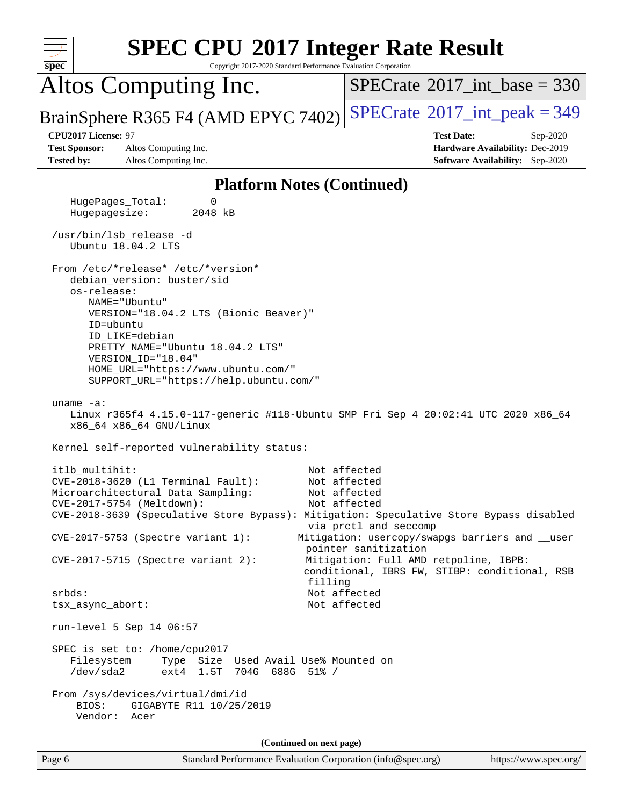| <b>SPEC CPU®2017 Integer Rate Result</b><br>spec<br>Copyright 2017-2020 Standard Performance Evaluation Corporation                                       |                                                                                                     |
|-----------------------------------------------------------------------------------------------------------------------------------------------------------|-----------------------------------------------------------------------------------------------------|
| Altos Computing Inc.                                                                                                                                      | $SPECTate$ <sup>®</sup> 2017_int_base = 330                                                         |
| BrainSphere R365 F4 (AMD EPYC 7402)                                                                                                                       | $SPECrate^{\circ}2017\_int\_peak = 349$                                                             |
| CPU2017 License: 97<br><b>Test Sponsor:</b><br>Altos Computing Inc.<br><b>Tested by:</b><br>Altos Computing Inc.                                          | <b>Test Date:</b><br>Sep-2020<br>Hardware Availability: Dec-2019<br>Software Availability: Sep-2020 |
| <b>Platform Notes (Continued)</b>                                                                                                                         |                                                                                                     |
| HugePages_Total:<br>0<br>Hugepagesize:<br>2048 kB                                                                                                         |                                                                                                     |
| /usr/bin/lsb_release -d<br>Ubuntu 18.04.2 LTS                                                                                                             |                                                                                                     |
| From /etc/*release* /etc/*version*<br>debian_version: buster/sid                                                                                          |                                                                                                     |
| os-release:<br>NAME="Ubuntu"<br>VERSION="18.04.2 LTS (Bionic Beaver)"                                                                                     |                                                                                                     |
| ID=ubuntu<br>ID_LIKE=debian<br>PRETTY_NAME="Ubuntu 18.04.2 LTS"                                                                                           |                                                                                                     |
| VERSION_ID="18.04"<br>HOME_URL="https://www.ubuntu.com/"<br>SUPPORT_URL="https://help.ubuntu.com/"                                                        |                                                                                                     |
| uname $-a$ :<br>Linux r365f4 4.15.0-117-generic #118-Ubuntu SMP Fri Sep 4 20:02:41 UTC 2020 x86_64<br>x86_64 x86_64 GNU/Linux                             |                                                                                                     |
| Kernel self-reported vulnerability status:                                                                                                                |                                                                                                     |
| itlb_multihit:<br>CVE-2018-3620 (L1 Terminal Fault):                                                                                                      | Not affected<br>Not affected                                                                        |
| Microarchitectural Data Sampling:<br>CVE-2017-5754 (Meltdown):<br>CVE-2018-3639 (Speculative Store Bypass): Mitigation: Speculative Store Bypass disabled | Not affected<br>Not affected                                                                        |
| CVE-2017-5753 (Spectre variant 1):                                                                                                                        | via prctl and seccomp<br>Mitigation: usercopy/swapgs barriers and __user<br>pointer sanitization    |
| $CVE-2017-5715$ (Spectre variant 2):<br>filling                                                                                                           | Mitigation: Full AMD retpoline, IBPB:<br>conditional, IBRS_FW, STIBP: conditional, RSB              |
| srbds:<br>tsx_async_abort:                                                                                                                                | Not affected<br>Not affected                                                                        |
| run-level 5 Sep 14 06:57                                                                                                                                  |                                                                                                     |
| SPEC is set to: /home/cpu2017<br>Filesystem<br>Type Size Used Avail Use% Mounted on<br>ext4 1.5T 704G 688G 51% /<br>/dev/sda2                             |                                                                                                     |
| From /sys/devices/virtual/dmi/id<br>BIOS:<br>GIGABYTE R11 10/25/2019<br>Vendor: Acer                                                                      |                                                                                                     |
| (Continued on next page)                                                                                                                                  |                                                                                                     |
| Page 6<br>Standard Performance Evaluation Corporation (info@spec.org)                                                                                     | https://www.spec.org/                                                                               |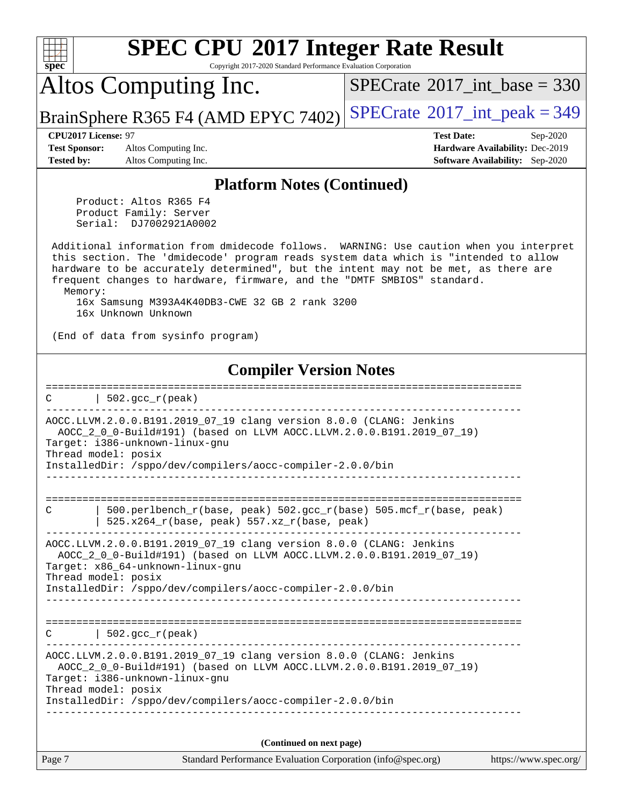| <b>SPEC CPU®2017 Integer Rate Result</b><br>Copyright 2017-2020 Standard Performance Evaluation Corporation<br>spec <sup>®</sup>                                                                                                                                                                                                                                                                                                                                                                                                                                                                                                                                                                                                                                           |                                                                                                            |
|----------------------------------------------------------------------------------------------------------------------------------------------------------------------------------------------------------------------------------------------------------------------------------------------------------------------------------------------------------------------------------------------------------------------------------------------------------------------------------------------------------------------------------------------------------------------------------------------------------------------------------------------------------------------------------------------------------------------------------------------------------------------------|------------------------------------------------------------------------------------------------------------|
| Altos Computing Inc.                                                                                                                                                                                                                                                                                                                                                                                                                                                                                                                                                                                                                                                                                                                                                       | $SPECrate^{\circledast}2017$ int base = 330                                                                |
| BrainSphere R365 F4 (AMD EPYC 7402)                                                                                                                                                                                                                                                                                                                                                                                                                                                                                                                                                                                                                                                                                                                                        | $SPECrate^{\circ}2017\_int\_peak = 349$                                                                    |
| CPU2017 License: 97<br><b>Test Sponsor:</b><br>Altos Computing Inc.<br>Altos Computing Inc.<br><b>Tested by:</b>                                                                                                                                                                                                                                                                                                                                                                                                                                                                                                                                                                                                                                                           | <b>Test Date:</b><br>Sep-2020<br>Hardware Availability: Dec-2019<br><b>Software Availability:</b> Sep-2020 |
| <b>Platform Notes (Continued)</b>                                                                                                                                                                                                                                                                                                                                                                                                                                                                                                                                                                                                                                                                                                                                          |                                                                                                            |
| Product: Altos R365 F4<br>Product Family: Server<br>Serial: DJ7002921A0002                                                                                                                                                                                                                                                                                                                                                                                                                                                                                                                                                                                                                                                                                                 |                                                                                                            |
| Additional information from dmidecode follows. WARNING: Use caution when you interpret<br>this section. The 'dmidecode' program reads system data which is "intended to allow<br>hardware to be accurately determined", but the intent may not be met, as there are<br>frequent changes to hardware, firmware, and the "DMTF SMBIOS" standard.<br>Memory:                                                                                                                                                                                                                                                                                                                                                                                                                  |                                                                                                            |
| 16x Samsung M393A4K40DB3-CWE 32 GB 2 rank 3200<br>16x Unknown Unknown                                                                                                                                                                                                                                                                                                                                                                                                                                                                                                                                                                                                                                                                                                      |                                                                                                            |
| (End of data from sysinfo program)                                                                                                                                                                                                                                                                                                                                                                                                                                                                                                                                                                                                                                                                                                                                         |                                                                                                            |
| <b>Compiler Version Notes</b><br>$502.$ $\text{gcc\_r}$ (peak)<br>C<br>AOCC.LLVM.2.0.0.B191.2019_07_19 clang version 8.0.0 (CLANG: Jenkins<br>AOCC_2_0_0-Build#191) (based on LLVM AOCC.LLVM.2.0.0.B191.2019_07_19)<br>Target: i386-unknown-linux-gnu<br>Thread model: posix<br>InstalledDir: /sppo/dev/compilers/aocc-compiler-2.0.0/bin<br>500.perlbench_r(base, peak) 502.gcc_r(base) 505.mcf_r(base, peak)<br>C<br>525.x264_r(base, peak) 557.xz_r(base, peak)<br>AOCC.LLVM.2.0.0.B191.2019_07_19 clang version 8.0.0 (CLANG: Jenkins<br>AOCC_2_0_0-Build#191) (based on LLVM AOCC.LLVM.2.0.0.B191.2019_07_19)<br>Target: x86_64-unknown-linux-gnu<br>Thread model: posix<br>InstalledDir: /sppo/dev/compilers/aocc-compiler-2.0.0/bin<br>$\vert$ 502.gcc_r(peak)<br>C | ----------------                                                                                           |
| AOCC.LLVM.2.0.0.B191.2019_07_19 clang version 8.0.0 (CLANG: Jenkins<br>AOCC_2_0_0-Build#191) (based on LLVM AOCC.LLVM.2.0.0.B191.2019_07_19)<br>Target: i386-unknown-linux-gnu<br>Thread model: posix<br>InstalledDir: /sppo/dev/compilers/aocc-compiler-2.0.0/bin                                                                                                                                                                                                                                                                                                                                                                                                                                                                                                         | ________________________                                                                                   |
| (Continued on next page)                                                                                                                                                                                                                                                                                                                                                                                                                                                                                                                                                                                                                                                                                                                                                   |                                                                                                            |
| Page 7<br>Standard Performance Evaluation Corporation (info@spec.org)                                                                                                                                                                                                                                                                                                                                                                                                                                                                                                                                                                                                                                                                                                      | https://www.spec.org/                                                                                      |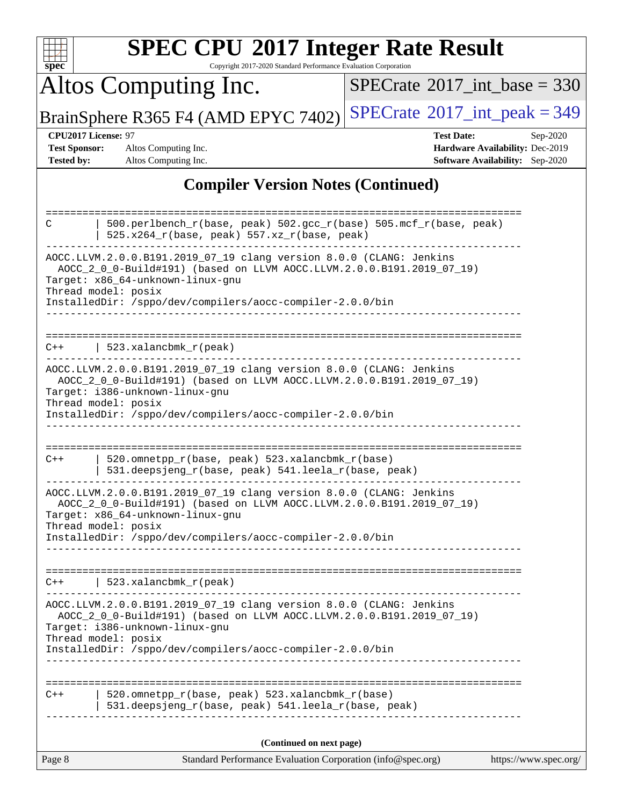| <b>SPEC CPU®2017 Integer Rate Result</b><br>Copyright 2017-2020 Standard Performance Evaluation Corporation<br>spec <sup>®</sup>                                                                                                                                                                                                                                                              |                                                                                                            |
|-----------------------------------------------------------------------------------------------------------------------------------------------------------------------------------------------------------------------------------------------------------------------------------------------------------------------------------------------------------------------------------------------|------------------------------------------------------------------------------------------------------------|
| Altos Computing Inc.                                                                                                                                                                                                                                                                                                                                                                          | $SPECTate$ <sup>®</sup> 2017_int_base = 330                                                                |
| BrainSphere R365 F4 (AMD EPYC 7402)                                                                                                                                                                                                                                                                                                                                                           | $SPECrate@2017(int peak = 349$                                                                             |
| <b>CPU2017 License: 97</b><br><b>Test Sponsor:</b><br>Altos Computing Inc.<br>Tested by:<br>Altos Computing Inc.                                                                                                                                                                                                                                                                              | <b>Test Date:</b><br>Sep-2020<br>Hardware Availability: Dec-2019<br><b>Software Availability:</b> Sep-2020 |
| <b>Compiler Version Notes (Continued)</b>                                                                                                                                                                                                                                                                                                                                                     |                                                                                                            |
| 500.perlbench_r(base, peak) 502.gcc_r(base) 505.mcf_r(base, peak)<br>C<br>525.x264_r(base, peak) 557.xz_r(base, peak)<br>AOCC.LLVM.2.0.0.B191.2019_07_19 clang version 8.0.0 (CLANG: Jenkins<br>AOCC_2_0_0-Build#191) (based on LLVM AOCC.LLVM.2.0.0.B191.2019_07_19)<br>Target: x86_64-unknown-linux-gnu<br>Thread model: posix<br>InstalledDir: /sppo/dev/compilers/aocc-compiler-2.0.0/bin |                                                                                                            |
| 523.xalancbmk_r(peak)<br>$C++$<br>AOCC.LLVM.2.0.0.B191.2019_07_19 clang version 8.0.0 (CLANG: Jenkins<br>AOCC_2_0_0-Build#191) (based on LLVM AOCC.LLVM.2.0.0.B191.2019_07_19)                                                                                                                                                                                                                |                                                                                                            |
| Target: i386-unknown-linux-gnu<br>Thread model: posix<br>InstalledDir: /sppo/dev/compilers/aocc-compiler-2.0.0/bin                                                                                                                                                                                                                                                                            |                                                                                                            |
| 520.omnetpp_r(base, peak) 523.xalancbmk_r(base)<br>$C++$<br>531.deepsjeng_r(base, peak) 541.leela_r(base, peak)<br>AOCC.LLVM.2.0.0.B191.2019_07_19 clang version 8.0.0 (CLANG: Jenkins<br>AOCC_2_0_0-Build#191) (based on LLVM AOCC.LLVM.2.0.0.B191.2019_07_19)<br>Target: x86_64-unknown-linux-gnu<br>Thread model: posix<br>InstalledDir: /sppo/dev/compilers/aocc-compiler-2.0.0/bin       |                                                                                                            |
| 523.xalancbmk_r(peak)<br>C++<br>AOCC.LLVM.2.0.0.B191.2019_07_19 clang version 8.0.0 (CLANG: Jenkins<br>AOCC_2_0_0-Build#191) (based on LLVM AOCC.LLVM.2.0.0.B191.2019_07_19)<br>Target: i386-unknown-linux-gnu<br>Thread model: posix<br>InstalledDir: /sppo/dev/compilers/aocc-compiler-2.0.0/bin                                                                                            |                                                                                                            |
| 520.omnetpp_r(base, peak) 523.xalancbmk_r(base)<br>$C++$<br>531.deepsjeng_r(base, peak) 541.leela_r(base, peak)                                                                                                                                                                                                                                                                               |                                                                                                            |
| (Continued on next page)                                                                                                                                                                                                                                                                                                                                                                      |                                                                                                            |
| Page 8<br>Standard Performance Evaluation Corporation (info@spec.org)                                                                                                                                                                                                                                                                                                                         | https://www.spec.org/                                                                                      |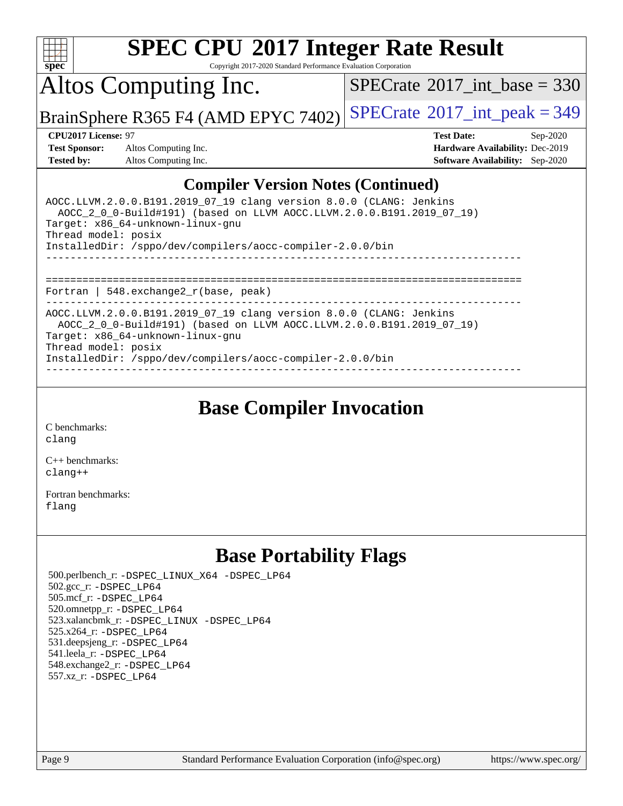

Copyright 2017-2020 Standard Performance Evaluation Corporation

Altos Computing Inc.

 $SPECTate@2017_int\_base = 330$ 

BrainSphere R365 F4 (AMD EPYC 7402) [SPECrate](http://www.spec.org/auto/cpu2017/Docs/result-fields.html#SPECrate2017intpeak)<sup>®</sup>[2017\\_int\\_peak = 3](http://www.spec.org/auto/cpu2017/Docs/result-fields.html#SPECrate2017intpeak)49

**[Test Sponsor:](http://www.spec.org/auto/cpu2017/Docs/result-fields.html#TestSponsor)** Altos Computing Inc. **[Hardware Availability:](http://www.spec.org/auto/cpu2017/Docs/result-fields.html#HardwareAvailability)** Dec-2019 **[Tested by:](http://www.spec.org/auto/cpu2017/Docs/result-fields.html#Testedby)** Altos Computing Inc. **[Software Availability:](http://www.spec.org/auto/cpu2017/Docs/result-fields.html#SoftwareAvailability)** Sep-2020

**[CPU2017 License:](http://www.spec.org/auto/cpu2017/Docs/result-fields.html#CPU2017License)** 97 **[Test Date:](http://www.spec.org/auto/cpu2017/Docs/result-fields.html#TestDate)** Sep-2020

### **[Compiler Version Notes \(Continued\)](http://www.spec.org/auto/cpu2017/Docs/result-fields.html#CompilerVersionNotes)**

| AOCC.LLVM.2.0.0.B191.2019 07 19 clang version 8.0.0 (CLANG: Jenkins<br>AOCC_2_0_0-Build#191) (based on LLVM AOCC.LLVM.2.0.0.B191.2019_07_19)<br>Target: x86 64-unknown-linux-gnu<br>Thread model: posix<br>InstalledDir: /sppo/dev/compilers/aocc-compiler-2.0.0/bin |
|----------------------------------------------------------------------------------------------------------------------------------------------------------------------------------------------------------------------------------------------------------------------|
| -------------------------------------<br>Fortran   548. $exchange2 r(base, peak)$                                                                                                                                                                                    |
| AOCC.LLVM.2.0.0.B191.2019 07 19 clang version 8.0.0 (CLANG: Jenkins<br>AOCC 2 0 0-Build#191) (based on LLVM AOCC.LLVM.2.0.0.B191.2019 07 19)<br>Target: x86 64-unknown-linux-gnu<br>Thread model: posix<br>InstalledDir: /sppo/dev/compilers/aocc-compiler-2.0.0/bin |

**[Base Compiler Invocation](http://www.spec.org/auto/cpu2017/Docs/result-fields.html#BaseCompilerInvocation)**

[C benchmarks](http://www.spec.org/auto/cpu2017/Docs/result-fields.html#Cbenchmarks): [clang](http://www.spec.org/cpu2017/results/res2020q4/cpu2017-20201012-24190.flags.html#user_CCbase_clang-c)

[C++ benchmarks:](http://www.spec.org/auto/cpu2017/Docs/result-fields.html#CXXbenchmarks) [clang++](http://www.spec.org/cpu2017/results/res2020q4/cpu2017-20201012-24190.flags.html#user_CXXbase_clang-cpp)

[Fortran benchmarks](http://www.spec.org/auto/cpu2017/Docs/result-fields.html#Fortranbenchmarks): [flang](http://www.spec.org/cpu2017/results/res2020q4/cpu2017-20201012-24190.flags.html#user_FCbase_flang)

## **[Base Portability Flags](http://www.spec.org/auto/cpu2017/Docs/result-fields.html#BasePortabilityFlags)**

 500.perlbench\_r: [-DSPEC\\_LINUX\\_X64](http://www.spec.org/cpu2017/results/res2020q4/cpu2017-20201012-24190.flags.html#b500.perlbench_r_basePORTABILITY_DSPEC_LINUX_X64) [-DSPEC\\_LP64](http://www.spec.org/cpu2017/results/res2020q4/cpu2017-20201012-24190.flags.html#b500.perlbench_r_baseEXTRA_PORTABILITY_DSPEC_LP64) 502.gcc\_r: [-DSPEC\\_LP64](http://www.spec.org/cpu2017/results/res2020q4/cpu2017-20201012-24190.flags.html#suite_baseEXTRA_PORTABILITY502_gcc_r_DSPEC_LP64) 505.mcf\_r: [-DSPEC\\_LP64](http://www.spec.org/cpu2017/results/res2020q4/cpu2017-20201012-24190.flags.html#suite_baseEXTRA_PORTABILITY505_mcf_r_DSPEC_LP64) 520.omnetpp\_r: [-DSPEC\\_LP64](http://www.spec.org/cpu2017/results/res2020q4/cpu2017-20201012-24190.flags.html#suite_baseEXTRA_PORTABILITY520_omnetpp_r_DSPEC_LP64) 523.xalancbmk\_r: [-DSPEC\\_LINUX](http://www.spec.org/cpu2017/results/res2020q4/cpu2017-20201012-24190.flags.html#b523.xalancbmk_r_basePORTABILITY_DSPEC_LINUX) [-DSPEC\\_LP64](http://www.spec.org/cpu2017/results/res2020q4/cpu2017-20201012-24190.flags.html#suite_baseEXTRA_PORTABILITY523_xalancbmk_r_DSPEC_LP64) 525.x264\_r: [-DSPEC\\_LP64](http://www.spec.org/cpu2017/results/res2020q4/cpu2017-20201012-24190.flags.html#suite_baseEXTRA_PORTABILITY525_x264_r_DSPEC_LP64) 531.deepsjeng\_r: [-DSPEC\\_LP64](http://www.spec.org/cpu2017/results/res2020q4/cpu2017-20201012-24190.flags.html#suite_baseEXTRA_PORTABILITY531_deepsjeng_r_DSPEC_LP64) 541.leela\_r: [-DSPEC\\_LP64](http://www.spec.org/cpu2017/results/res2020q4/cpu2017-20201012-24190.flags.html#suite_baseEXTRA_PORTABILITY541_leela_r_DSPEC_LP64) 548.exchange2\_r: [-DSPEC\\_LP64](http://www.spec.org/cpu2017/results/res2020q4/cpu2017-20201012-24190.flags.html#suite_baseEXTRA_PORTABILITY548_exchange2_r_DSPEC_LP64) 557.xz\_r: [-DSPEC\\_LP64](http://www.spec.org/cpu2017/results/res2020q4/cpu2017-20201012-24190.flags.html#suite_baseEXTRA_PORTABILITY557_xz_r_DSPEC_LP64)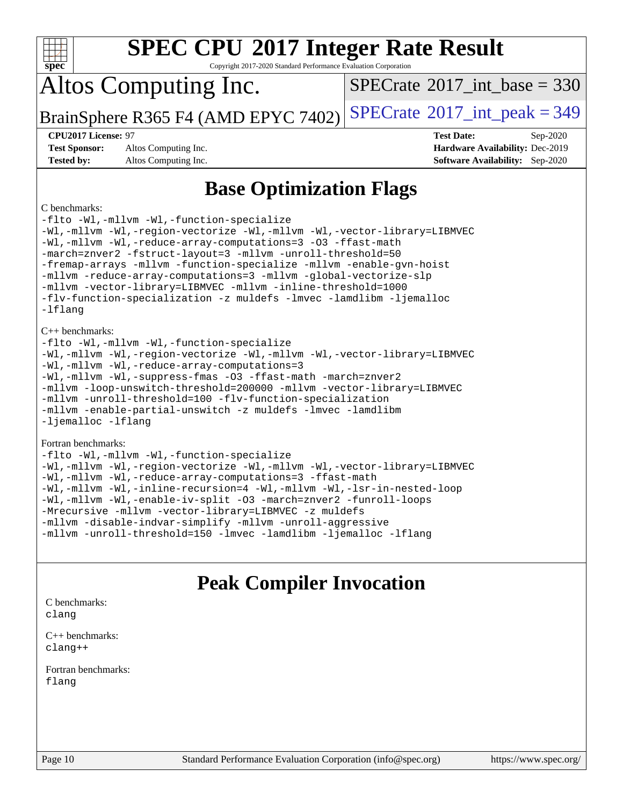| $\mathbf{spec}^*$ |  |
|-------------------|--|

Copyright 2017-2020 Standard Performance Evaluation Corporation

## Altos Computing Inc.

 $SPECTate@2017_int\_base = 330$ 

BrainSphere R365 F4 (AMD EPYC 7402) [SPECrate](http://www.spec.org/auto/cpu2017/Docs/result-fields.html#SPECrate2017intpeak)<sup>®</sup>[2017\\_int\\_peak = 3](http://www.spec.org/auto/cpu2017/Docs/result-fields.html#SPECrate2017intpeak)49

**[Test Sponsor:](http://www.spec.org/auto/cpu2017/Docs/result-fields.html#TestSponsor)** Altos Computing Inc. **[Hardware Availability:](http://www.spec.org/auto/cpu2017/Docs/result-fields.html#HardwareAvailability)** Dec-2019 **[Tested by:](http://www.spec.org/auto/cpu2017/Docs/result-fields.html#Testedby)** Altos Computing Inc. **[Software Availability:](http://www.spec.org/auto/cpu2017/Docs/result-fields.html#SoftwareAvailability)** Sep-2020

**[CPU2017 License:](http://www.spec.org/auto/cpu2017/Docs/result-fields.html#CPU2017License)** 97 **[Test Date:](http://www.spec.org/auto/cpu2017/Docs/result-fields.html#TestDate)** Sep-2020

## **[Base Optimization Flags](http://www.spec.org/auto/cpu2017/Docs/result-fields.html#BaseOptimizationFlags)**

### [C benchmarks:](http://www.spec.org/auto/cpu2017/Docs/result-fields.html#Cbenchmarks)

[-flto](http://www.spec.org/cpu2017/results/res2020q4/cpu2017-20201012-24190.flags.html#user_CCbase_aocc-flto) [-Wl,-mllvm -Wl,-function-specialize](http://www.spec.org/cpu2017/results/res2020q4/cpu2017-20201012-24190.flags.html#user_CCbase_F-function-specialize_7e7e661e57922243ee67c9a1251cb8910e607325179a0ce7f2884e09a6f5d4a5ef0ae4f37e8a2a11c95fc48e931f06dc2b6016f14b511fcb441e048bef1b065a) [-Wl,-mllvm -Wl,-region-vectorize](http://www.spec.org/cpu2017/results/res2020q4/cpu2017-20201012-24190.flags.html#user_CCbase_F-region-vectorize_fb6c6b5aa293c88efc6c7c2b52b20755e943585b1fe8658c35afef78727fff56e1a56891413c30e36b8e2a6f9a71126986319243e80eb6110b78b288f533c52b) [-Wl,-mllvm -Wl,-vector-library=LIBMVEC](http://www.spec.org/cpu2017/results/res2020q4/cpu2017-20201012-24190.flags.html#user_CCbase_F-use-vector-library_0a14b27fae317f283640384a31f7bfcc2bd4c1d0b5cfc618a3a430800c9b20217b00f61303eff223a3251b4f06ffbc9739dc5296db9d1fbb9ad24a3939d86d66) [-Wl,-mllvm -Wl,-reduce-array-computations=3](http://www.spec.org/cpu2017/results/res2020q4/cpu2017-20201012-24190.flags.html#user_CCbase_F-reduce-array-computations_b882aefe7a5dda4e33149f6299762b9a720dace3e498e13756f4c04e5a19edf5315c1f3993de2e61ec41e8c206231f84e05da7040e1bb5d69ba27d10a12507e4) [-O3](http://www.spec.org/cpu2017/results/res2020q4/cpu2017-20201012-24190.flags.html#user_CCbase_F-O3) [-ffast-math](http://www.spec.org/cpu2017/results/res2020q4/cpu2017-20201012-24190.flags.html#user_CCbase_aocc-ffast-math) [-march=znver2](http://www.spec.org/cpu2017/results/res2020q4/cpu2017-20201012-24190.flags.html#user_CCbase_aocc-march_3e2e19cff2eeef60c5d90b059483627c9ea47eca6d66670dbd53f9185f6439e27eb5e104cf773e9e8ab18c8842ce63e461a3e948d0214bd567ef3ade411bf467) [-fstruct-layout=3](http://www.spec.org/cpu2017/results/res2020q4/cpu2017-20201012-24190.flags.html#user_CCbase_F-struct-layout) [-mllvm -unroll-threshold=50](http://www.spec.org/cpu2017/results/res2020q4/cpu2017-20201012-24190.flags.html#user_CCbase_F-unroll-threshold_458874500b2c105d6d5cb4d7a611c40e2b16e9e3d26b355fea72d644c3673b4de4b3932662f0ed3dbec75c491a13da2d2ca81180bd779dc531083ef1e1e549dc) [-fremap-arrays](http://www.spec.org/cpu2017/results/res2020q4/cpu2017-20201012-24190.flags.html#user_CCbase_F-fremap-arrays) [-mllvm -function-specialize](http://www.spec.org/cpu2017/results/res2020q4/cpu2017-20201012-24190.flags.html#user_CCbase_F-function-specialize_233b3bdba86027f1b094368157e481c5bc59f40286dc25bfadc1858dcd5745c24fd30d5f188710db7fea399bcc9f44a80b3ce3aacc70a8870250c3ae5e1f35b8) [-mllvm -enable-gvn-hoist](http://www.spec.org/cpu2017/results/res2020q4/cpu2017-20201012-24190.flags.html#user_CCbase_F-enable-gvn-hoist_e5856354646dd6ca1333a0ad99b817e4cf8932b91b82809fd8fd47ceff7b22a89eba5c98fd3e3fa5200368fd772cec3dd56abc3c8f7b655a71b9f9848dddedd5) [-mllvm -reduce-array-computations=3](http://www.spec.org/cpu2017/results/res2020q4/cpu2017-20201012-24190.flags.html#user_CCbase_F-reduce-array-computations_aceadb8604558b566e0e3a0d7a3c1533923dd1fa0889614e16288028922629a28d5695c24d3b3be4306b1e311c54317dfffe3a2e57fbcaabc737a1798de39145) [-mllvm -global-vectorize-slp](http://www.spec.org/cpu2017/results/res2020q4/cpu2017-20201012-24190.flags.html#user_CCbase_F-global-vectorize-slp_a3935e8627af4ced727033b1ffd4db27f4d541a363d28d82bf4c2925fb3a0fd4115d6e42d13a2829f9e024d6608eb67a85cb49770f2da5c5ac8dbc737afad603) [-mllvm -vector-library=LIBMVEC](http://www.spec.org/cpu2017/results/res2020q4/cpu2017-20201012-24190.flags.html#user_CCbase_F-use-vector-library_e584e20b4f7ec96aa109254b65d8e01d864f3d68580371b9d93ed7c338191d4cfce20c3c864632264effc6bbe4c7c38153d02096a342ee92501c4a53204a7871) [-mllvm -inline-threshold=1000](http://www.spec.org/cpu2017/results/res2020q4/cpu2017-20201012-24190.flags.html#user_CCbase_dragonegg-llvm-inline-threshold_b7832241b0a6397e4ecdbaf0eb7defdc10f885c2a282fa3240fdc99844d543fda39cf8a4a9dccf68cf19b5438ac3b455264f478df15da0f4988afa40d8243bab) [-flv-function-specialization](http://www.spec.org/cpu2017/results/res2020q4/cpu2017-20201012-24190.flags.html#user_CCbase_F-flv-function-specialization) [-z muldefs](http://www.spec.org/cpu2017/results/res2020q4/cpu2017-20201012-24190.flags.html#user_CCbase_aocc-muldefs) [-lmvec](http://www.spec.org/cpu2017/results/res2020q4/cpu2017-20201012-24190.flags.html#user_CCbase_F-lmvec) [-lamdlibm](http://www.spec.org/cpu2017/results/res2020q4/cpu2017-20201012-24190.flags.html#user_CCbase_F-lamdlibm) [-ljemalloc](http://www.spec.org/cpu2017/results/res2020q4/cpu2017-20201012-24190.flags.html#user_CCbase_jemalloc-lib) [-lflang](http://www.spec.org/cpu2017/results/res2020q4/cpu2017-20201012-24190.flags.html#user_CCbase_F-lflang) [C++ benchmarks](http://www.spec.org/auto/cpu2017/Docs/result-fields.html#CXXbenchmarks): [-flto](http://www.spec.org/cpu2017/results/res2020q4/cpu2017-20201012-24190.flags.html#user_CXXbase_aocc-flto) [-Wl,-mllvm -Wl,-function-specialize](http://www.spec.org/cpu2017/results/res2020q4/cpu2017-20201012-24190.flags.html#user_CXXbase_F-function-specialize_7e7e661e57922243ee67c9a1251cb8910e607325179a0ce7f2884e09a6f5d4a5ef0ae4f37e8a2a11c95fc48e931f06dc2b6016f14b511fcb441e048bef1b065a) [-Wl,-mllvm -Wl,-region-vectorize](http://www.spec.org/cpu2017/results/res2020q4/cpu2017-20201012-24190.flags.html#user_CXXbase_F-region-vectorize_fb6c6b5aa293c88efc6c7c2b52b20755e943585b1fe8658c35afef78727fff56e1a56891413c30e36b8e2a6f9a71126986319243e80eb6110b78b288f533c52b) [-Wl,-mllvm -Wl,-vector-library=LIBMVEC](http://www.spec.org/cpu2017/results/res2020q4/cpu2017-20201012-24190.flags.html#user_CXXbase_F-use-vector-library_0a14b27fae317f283640384a31f7bfcc2bd4c1d0b5cfc618a3a430800c9b20217b00f61303eff223a3251b4f06ffbc9739dc5296db9d1fbb9ad24a3939d86d66) [-Wl,-mllvm -Wl,-reduce-array-computations=3](http://www.spec.org/cpu2017/results/res2020q4/cpu2017-20201012-24190.flags.html#user_CXXbase_F-reduce-array-computations_b882aefe7a5dda4e33149f6299762b9a720dace3e498e13756f4c04e5a19edf5315c1f3993de2e61ec41e8c206231f84e05da7040e1bb5d69ba27d10a12507e4) [-Wl,-mllvm -Wl,-suppress-fmas](http://www.spec.org/cpu2017/results/res2020q4/cpu2017-20201012-24190.flags.html#user_CXXbase_F-suppress-fmas_f00f00630e4a059e8af9c161e9bbf420bcf19890a7f99d5933525e66aa4b0bb3ab2339d2b12d97d3a5f5d271e839fe9c109938e91fe06230fb53651590cfa1e8) [-O3](http://www.spec.org/cpu2017/results/res2020q4/cpu2017-20201012-24190.flags.html#user_CXXbase_F-O3) [-ffast-math](http://www.spec.org/cpu2017/results/res2020q4/cpu2017-20201012-24190.flags.html#user_CXXbase_aocc-ffast-math) [-march=znver2](http://www.spec.org/cpu2017/results/res2020q4/cpu2017-20201012-24190.flags.html#user_CXXbase_aocc-march_3e2e19cff2eeef60c5d90b059483627c9ea47eca6d66670dbd53f9185f6439e27eb5e104cf773e9e8ab18c8842ce63e461a3e948d0214bd567ef3ade411bf467) [-mllvm -loop-unswitch-threshold=200000](http://www.spec.org/cpu2017/results/res2020q4/cpu2017-20201012-24190.flags.html#user_CXXbase_F-loop-unswitch-threshold_f9a82ae3270e55b5fbf79d0d96ee93606b73edbbe527d20b18b7bff1a3a146ad50cfc7454c5297978340ae9213029016a7d16221274d672d3f7f42ed25274e1d) [-mllvm -vector-library=LIBMVEC](http://www.spec.org/cpu2017/results/res2020q4/cpu2017-20201012-24190.flags.html#user_CXXbase_F-use-vector-library_e584e20b4f7ec96aa109254b65d8e01d864f3d68580371b9d93ed7c338191d4cfce20c3c864632264effc6bbe4c7c38153d02096a342ee92501c4a53204a7871) [-mllvm -unroll-threshold=100](http://www.spec.org/cpu2017/results/res2020q4/cpu2017-20201012-24190.flags.html#user_CXXbase_F-unroll-threshold_2755d0c78138845d361fa1543e3a063fffa198df9b3edf0cfb856bbc88a81e1769b12ac7a550c5d35197be55360db1a3f95a8d1304df999456cabf5120c45168) [-flv-function-specialization](http://www.spec.org/cpu2017/results/res2020q4/cpu2017-20201012-24190.flags.html#user_CXXbase_F-flv-function-specialization) [-mllvm -enable-partial-unswitch](http://www.spec.org/cpu2017/results/res2020q4/cpu2017-20201012-24190.flags.html#user_CXXbase_F-enable-partial-unswitch_6e1c33f981d77963b1eaf834973128a7f33ce3f8e27f54689656697a35e89dcc875281e0e6283d043e32f367dcb605ba0e307a92e830f7e326789fa6c61b35d3) [-z muldefs](http://www.spec.org/cpu2017/results/res2020q4/cpu2017-20201012-24190.flags.html#user_CXXbase_aocc-muldefs) [-lmvec](http://www.spec.org/cpu2017/results/res2020q4/cpu2017-20201012-24190.flags.html#user_CXXbase_F-lmvec) [-lamdlibm](http://www.spec.org/cpu2017/results/res2020q4/cpu2017-20201012-24190.flags.html#user_CXXbase_F-lamdlibm) [-ljemalloc](http://www.spec.org/cpu2017/results/res2020q4/cpu2017-20201012-24190.flags.html#user_CXXbase_jemalloc-lib) [-lflang](http://www.spec.org/cpu2017/results/res2020q4/cpu2017-20201012-24190.flags.html#user_CXXbase_F-lflang) [Fortran benchmarks:](http://www.spec.org/auto/cpu2017/Docs/result-fields.html#Fortranbenchmarks) [-flto](http://www.spec.org/cpu2017/results/res2020q4/cpu2017-20201012-24190.flags.html#user_FCbase_aocc-flto) [-Wl,-mllvm -Wl,-function-specialize](http://www.spec.org/cpu2017/results/res2020q4/cpu2017-20201012-24190.flags.html#user_FCbase_F-function-specialize_7e7e661e57922243ee67c9a1251cb8910e607325179a0ce7f2884e09a6f5d4a5ef0ae4f37e8a2a11c95fc48e931f06dc2b6016f14b511fcb441e048bef1b065a) [-Wl,-mllvm -Wl,-region-vectorize](http://www.spec.org/cpu2017/results/res2020q4/cpu2017-20201012-24190.flags.html#user_FCbase_F-region-vectorize_fb6c6b5aa293c88efc6c7c2b52b20755e943585b1fe8658c35afef78727fff56e1a56891413c30e36b8e2a6f9a71126986319243e80eb6110b78b288f533c52b) [-Wl,-mllvm -Wl,-vector-library=LIBMVEC](http://www.spec.org/cpu2017/results/res2020q4/cpu2017-20201012-24190.flags.html#user_FCbase_F-use-vector-library_0a14b27fae317f283640384a31f7bfcc2bd4c1d0b5cfc618a3a430800c9b20217b00f61303eff223a3251b4f06ffbc9739dc5296db9d1fbb9ad24a3939d86d66)

[-Wl,-mllvm -Wl,-reduce-array-computations=3](http://www.spec.org/cpu2017/results/res2020q4/cpu2017-20201012-24190.flags.html#user_FCbase_F-reduce-array-computations_b882aefe7a5dda4e33149f6299762b9a720dace3e498e13756f4c04e5a19edf5315c1f3993de2e61ec41e8c206231f84e05da7040e1bb5d69ba27d10a12507e4) [-ffast-math](http://www.spec.org/cpu2017/results/res2020q4/cpu2017-20201012-24190.flags.html#user_FCbase_aocc-ffast-math) [-Wl,-mllvm -Wl,-inline-recursion=4](http://www.spec.org/cpu2017/results/res2020q4/cpu2017-20201012-24190.flags.html#user_FCbase_F-inline-recursion) [-Wl,-mllvm -Wl,-lsr-in-nested-loop](http://www.spec.org/cpu2017/results/res2020q4/cpu2017-20201012-24190.flags.html#user_FCbase_F-lsr-in-nested-loop_de4bc7331d07d857538198a5cc9592bc905d78a18065d49b9acfd1f777ae9eca5716aaa3e0e674a48e2e5ec9dad184ee0c682635ad7eff4181b32ab748bf2f49) [-Wl,-mllvm -Wl,-enable-iv-split](http://www.spec.org/cpu2017/results/res2020q4/cpu2017-20201012-24190.flags.html#user_FCbase_F-enable-iv-split_efc18925ba63acc4bb74cb6e43d0987b7b3cf01924ad910e2a6edbbbd0f8b582e31f1ee7ccede3f08176ef2ad41c69507170fb32301bf478d45ceb38dfb89c5e) [-O3](http://www.spec.org/cpu2017/results/res2020q4/cpu2017-20201012-24190.flags.html#user_FCbase_F-O3) [-march=znver2](http://www.spec.org/cpu2017/results/res2020q4/cpu2017-20201012-24190.flags.html#user_FCbase_aocc-march_3e2e19cff2eeef60c5d90b059483627c9ea47eca6d66670dbd53f9185f6439e27eb5e104cf773e9e8ab18c8842ce63e461a3e948d0214bd567ef3ade411bf467) [-funroll-loops](http://www.spec.org/cpu2017/results/res2020q4/cpu2017-20201012-24190.flags.html#user_FCbase_aocc-unroll-loops) [-Mrecursive](http://www.spec.org/cpu2017/results/res2020q4/cpu2017-20201012-24190.flags.html#user_FCbase_F-mrecursive_20a145d63f12d5750a899e17d4450b5b8b40330a9bb4af13688ca650e6fb30857bbbe44fb35cdbb895df6e5b2769de0a0d7659f51ff17acfbef6febafec4023f) [-mllvm -vector-library=LIBMVEC](http://www.spec.org/cpu2017/results/res2020q4/cpu2017-20201012-24190.flags.html#user_FCbase_F-use-vector-library_e584e20b4f7ec96aa109254b65d8e01d864f3d68580371b9d93ed7c338191d4cfce20c3c864632264effc6bbe4c7c38153d02096a342ee92501c4a53204a7871) [-z muldefs](http://www.spec.org/cpu2017/results/res2020q4/cpu2017-20201012-24190.flags.html#user_FCbase_aocc-muldefs) [-mllvm -disable-indvar-simplify](http://www.spec.org/cpu2017/results/res2020q4/cpu2017-20201012-24190.flags.html#user_FCbase_F-disable-indvar-simplify_c8d861bf19eba5001219ab52ef051176e06bf3166017d5c1ce87aec66e795c6723d10bf23d5a91730d61ad4b3f566b39dd0a4d6e5b2af269ebae30428a1f3630) [-mllvm -unroll-aggressive](http://www.spec.org/cpu2017/results/res2020q4/cpu2017-20201012-24190.flags.html#user_FCbase_F-unroll-aggressive_a366db20af3fd871754361e6b05945ac700b8c3fc538cc6688c755ae5874c6da3d6f3bb6e8d93320d5094064830fdb2c06064831f0f08d916cd8f333e5dba6d9) [-mllvm -unroll-threshold=150](http://www.spec.org/cpu2017/results/res2020q4/cpu2017-20201012-24190.flags.html#user_FCbase_F-unroll-threshold_3352736ce55666ed13437f5f5fd6693920e68d4dfd26bba42492bb1c46b6d7692ff5ba7bd4d2ebdab48d140ca981a39154ff0664b4d322a66fc3d1aafa4d7ffe) [-lmvec](http://www.spec.org/cpu2017/results/res2020q4/cpu2017-20201012-24190.flags.html#user_FCbase_F-lmvec) [-lamdlibm](http://www.spec.org/cpu2017/results/res2020q4/cpu2017-20201012-24190.flags.html#user_FCbase_F-lamdlibm) [-ljemalloc](http://www.spec.org/cpu2017/results/res2020q4/cpu2017-20201012-24190.flags.html#user_FCbase_jemalloc-lib) [-lflang](http://www.spec.org/cpu2017/results/res2020q4/cpu2017-20201012-24190.flags.html#user_FCbase_F-lflang)

### **[Peak Compiler Invocation](http://www.spec.org/auto/cpu2017/Docs/result-fields.html#PeakCompilerInvocation)**

[C benchmarks](http://www.spec.org/auto/cpu2017/Docs/result-fields.html#Cbenchmarks): [clang](http://www.spec.org/cpu2017/results/res2020q4/cpu2017-20201012-24190.flags.html#user_CCpeak_clang-c)

[C++ benchmarks:](http://www.spec.org/auto/cpu2017/Docs/result-fields.html#CXXbenchmarks) [clang++](http://www.spec.org/cpu2017/results/res2020q4/cpu2017-20201012-24190.flags.html#user_CXXpeak_clang-cpp)

[Fortran benchmarks](http://www.spec.org/auto/cpu2017/Docs/result-fields.html#Fortranbenchmarks): [flang](http://www.spec.org/cpu2017/results/res2020q4/cpu2017-20201012-24190.flags.html#user_FCpeak_flang)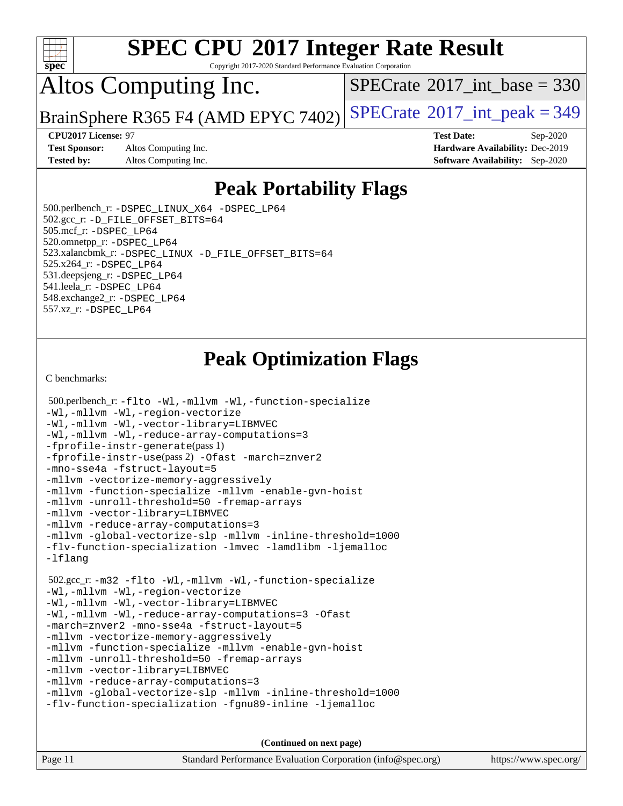

Copyright 2017-2020 Standard Performance Evaluation Corporation

## Altos Computing Inc.

 $SPECTate@2017_int\_base = 330$ 

BrainSphere R365 F4 (AMD EPYC 7402) [SPECrate](http://www.spec.org/auto/cpu2017/Docs/result-fields.html#SPECrate2017intpeak)<sup>®</sup>[2017\\_int\\_peak = 3](http://www.spec.org/auto/cpu2017/Docs/result-fields.html#SPECrate2017intpeak)49

**[Test Sponsor:](http://www.spec.org/auto/cpu2017/Docs/result-fields.html#TestSponsor)** Altos Computing Inc. **[Hardware Availability:](http://www.spec.org/auto/cpu2017/Docs/result-fields.html#HardwareAvailability)** Dec-2019 **[Tested by:](http://www.spec.org/auto/cpu2017/Docs/result-fields.html#Testedby)** Altos Computing Inc. **[Software Availability:](http://www.spec.org/auto/cpu2017/Docs/result-fields.html#SoftwareAvailability)** Sep-2020

**[CPU2017 License:](http://www.spec.org/auto/cpu2017/Docs/result-fields.html#CPU2017License)** 97 **[Test Date:](http://www.spec.org/auto/cpu2017/Docs/result-fields.html#TestDate)** Sep-2020

## **[Peak Portability Flags](http://www.spec.org/auto/cpu2017/Docs/result-fields.html#PeakPortabilityFlags)**

 500.perlbench\_r: [-DSPEC\\_LINUX\\_X64](http://www.spec.org/cpu2017/results/res2020q4/cpu2017-20201012-24190.flags.html#b500.perlbench_r_peakPORTABILITY_DSPEC_LINUX_X64) [-DSPEC\\_LP64](http://www.spec.org/cpu2017/results/res2020q4/cpu2017-20201012-24190.flags.html#b500.perlbench_r_peakEXTRA_PORTABILITY_DSPEC_LP64) 502.gcc\_r: [-D\\_FILE\\_OFFSET\\_BITS=64](http://www.spec.org/cpu2017/results/res2020q4/cpu2017-20201012-24190.flags.html#user_peakEXTRA_PORTABILITY502_gcc_r_F-D_FILE_OFFSET_BITS_5ae949a99b284ddf4e95728d47cb0843d81b2eb0e18bdfe74bbf0f61d0b064f4bda2f10ea5eb90e1dcab0e84dbc592acfc5018bc955c18609f94ddb8d550002c) 505.mcf\_r: [-DSPEC\\_LP64](http://www.spec.org/cpu2017/results/res2020q4/cpu2017-20201012-24190.flags.html#suite_peakEXTRA_PORTABILITY505_mcf_r_DSPEC_LP64) 520.omnetpp\_r: [-DSPEC\\_LP64](http://www.spec.org/cpu2017/results/res2020q4/cpu2017-20201012-24190.flags.html#suite_peakEXTRA_PORTABILITY520_omnetpp_r_DSPEC_LP64) 523.xalancbmk\_r: [-DSPEC\\_LINUX](http://www.spec.org/cpu2017/results/res2020q4/cpu2017-20201012-24190.flags.html#b523.xalancbmk_r_peakPORTABILITY_DSPEC_LINUX) [-D\\_FILE\\_OFFSET\\_BITS=64](http://www.spec.org/cpu2017/results/res2020q4/cpu2017-20201012-24190.flags.html#user_peakEXTRA_PORTABILITY523_xalancbmk_r_F-D_FILE_OFFSET_BITS_5ae949a99b284ddf4e95728d47cb0843d81b2eb0e18bdfe74bbf0f61d0b064f4bda2f10ea5eb90e1dcab0e84dbc592acfc5018bc955c18609f94ddb8d550002c) 525.x264\_r: [-DSPEC\\_LP64](http://www.spec.org/cpu2017/results/res2020q4/cpu2017-20201012-24190.flags.html#suite_peakEXTRA_PORTABILITY525_x264_r_DSPEC_LP64) 531.deepsjeng\_r: [-DSPEC\\_LP64](http://www.spec.org/cpu2017/results/res2020q4/cpu2017-20201012-24190.flags.html#suite_peakEXTRA_PORTABILITY531_deepsjeng_r_DSPEC_LP64) 541.leela\_r: [-DSPEC\\_LP64](http://www.spec.org/cpu2017/results/res2020q4/cpu2017-20201012-24190.flags.html#suite_peakEXTRA_PORTABILITY541_leela_r_DSPEC_LP64) 548.exchange2\_r: [-DSPEC\\_LP64](http://www.spec.org/cpu2017/results/res2020q4/cpu2017-20201012-24190.flags.html#suite_peakEXTRA_PORTABILITY548_exchange2_r_DSPEC_LP64) 557.xz\_r: [-DSPEC\\_LP64](http://www.spec.org/cpu2017/results/res2020q4/cpu2017-20201012-24190.flags.html#suite_peakEXTRA_PORTABILITY557_xz_r_DSPEC_LP64)

## **[Peak Optimization Flags](http://www.spec.org/auto/cpu2017/Docs/result-fields.html#PeakOptimizationFlags)**

[C benchmarks](http://www.spec.org/auto/cpu2017/Docs/result-fields.html#Cbenchmarks):

```
 500.perlbench_r: -flto -Wl,-mllvm -Wl,-function-specialize
-Wl,-mllvm -Wl,-region-vectorize
-Wl,-mllvm -Wl,-vector-library=LIBMVEC
-Wl,-mllvm -Wl,-reduce-array-computations=3
-fprofile-instr-generate(pass 1)
-fprofile-instr-use(pass 2) -Ofast -march=znver2
-mno-sse4a -fstruct-layout=5
-mllvm -vectorize-memory-aggressively
-mllvm -function-specialize -mllvm -enable-gvn-hoist
-mllvm -unroll-threshold=50 -fremap-arrays
-mllvm -vector-library=LIBMVEC
-mllvm -reduce-array-computations=3
-mllvm -global-vectorize-slp -mllvm -inline-threshold=1000
-flv-function-specialization -lmvec -lamdlibm -ljemalloc
-lflang
 502.gcc_r: -m32 -flto -Wl,-mllvm -Wl,-function-specialize
-Wl,-mllvm -Wl,-region-vectorize
-Wl,-mllvm -Wl,-vector-library=LIBMVEC
-Wl,-mllvm -Wl,-reduce-array-computations=3 -Ofast
-march=znver2 -mno-sse4a -fstruct-layout=5
-mllvm -vectorize-memory-aggressively
-mllvm -function-specialize -mllvm -enable-gvn-hoist
-mllvm -unroll-threshold=50 -fremap-arrays
-mllvm -vector-library=LIBMVEC
-mllvm -reduce-array-computations=3
-mllvm -global-vectorize-slp -mllvm -inline-threshold=1000
-flv-function-specialization -fgnu89-inline -ljemalloc
```
**(Continued on next page)**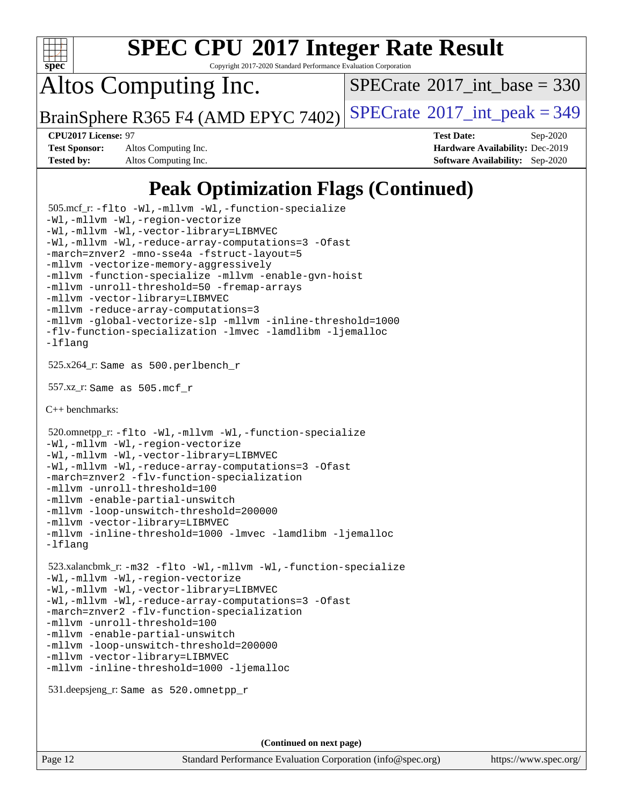

Copyright 2017-2020 Standard Performance Evaluation Corporation

Altos Computing Inc.

 $SPECTate$ <sup>®</sup>[2017\\_int\\_base =](http://www.spec.org/auto/cpu2017/Docs/result-fields.html#SPECrate2017intbase) 330

BrainSphere R365 F4 (AMD EPYC 7402) [SPECrate](http://www.spec.org/auto/cpu2017/Docs/result-fields.html#SPECrate2017intpeak)<sup>®</sup>[2017\\_int\\_peak = 3](http://www.spec.org/auto/cpu2017/Docs/result-fields.html#SPECrate2017intpeak)49

**[Test Sponsor:](http://www.spec.org/auto/cpu2017/Docs/result-fields.html#TestSponsor)** Altos Computing Inc. **[Hardware Availability:](http://www.spec.org/auto/cpu2017/Docs/result-fields.html#HardwareAvailability)** Dec-2019 **[Tested by:](http://www.spec.org/auto/cpu2017/Docs/result-fields.html#Testedby)** Altos Computing Inc. **[Software Availability:](http://www.spec.org/auto/cpu2017/Docs/result-fields.html#SoftwareAvailability)** Sep-2020

**[CPU2017 License:](http://www.spec.org/auto/cpu2017/Docs/result-fields.html#CPU2017License)** 97 **[Test Date:](http://www.spec.org/auto/cpu2017/Docs/result-fields.html#TestDate)** Sep-2020

## **[Peak Optimization Flags \(Continued\)](http://www.spec.org/auto/cpu2017/Docs/result-fields.html#PeakOptimizationFlags)**

```
 505.mcf_r: -flto -Wl,-mllvm -Wl,-function-specialize
-Wl,-mllvm -Wl,-region-vectorize
-Wl,-mllvm -Wl,-vector-library=LIBMVEC
-Wl,-mllvm -Wl,-reduce-array-computations=3 -Ofast
-march=znver2 -mno-sse4a -fstruct-layout=5
-mllvm -vectorize-memory-aggressively
-mllvm -function-specialize -mllvm -enable-gvn-hoist
-mllvm -unroll-threshold=50 -fremap-arrays
-mllvm -vector-library=LIBMVEC
-mllvm -reduce-array-computations=3
-mllvm -global-vectorize-slp -mllvm -inline-threshold=1000
-flv-function-specialization -lmvec -lamdlibm -ljemalloc
-lflang
 525.x264_r: Same as 500.perlbench_r
 557.xz_r: Same as 505.mcf_r
C++ benchmarks: 
 520.omnetpp_r: -flto -Wl,-mllvm -Wl,-function-specialize
-Wl,-mllvm -Wl,-region-vectorize
-Wl,-mllvm -Wl,-vector-library=LIBMVEC
-Wl,-mllvm -Wl,-reduce-array-computations=3 -Ofast
-march=znver2 -flv-function-specialization
-mllvm -unroll-threshold=100
-mllvm -enable-partial-unswitch
-mllvm -loop-unswitch-threshold=200000
-mllvm -vector-library=LIBMVEC
-mllvm -inline-threshold=1000 -lmvec -lamdlibm -ljemalloc
-lflang
 523.xalancbmk_r: -m32 -flto -Wl,-mllvm -Wl,-function-specialize
-Wl,-mllvm -Wl,-region-vectorize
-Wl,-mllvm -Wl,-vector-library=LIBMVEC
-Wl,-mllvm -Wl,-reduce-array-computations=3 -Ofast
-march=znver2 -flv-function-specialization
-mllvm -unroll-threshold=100
-mllvm -enable-partial-unswitch
-mllvm -loop-unswitch-threshold=200000
-mllvm -vector-library=LIBMVEC
-mllvm -inline-threshold=1000 -ljemalloc
 531.deepsjeng_r: Same as 520.omnetpp_r
```